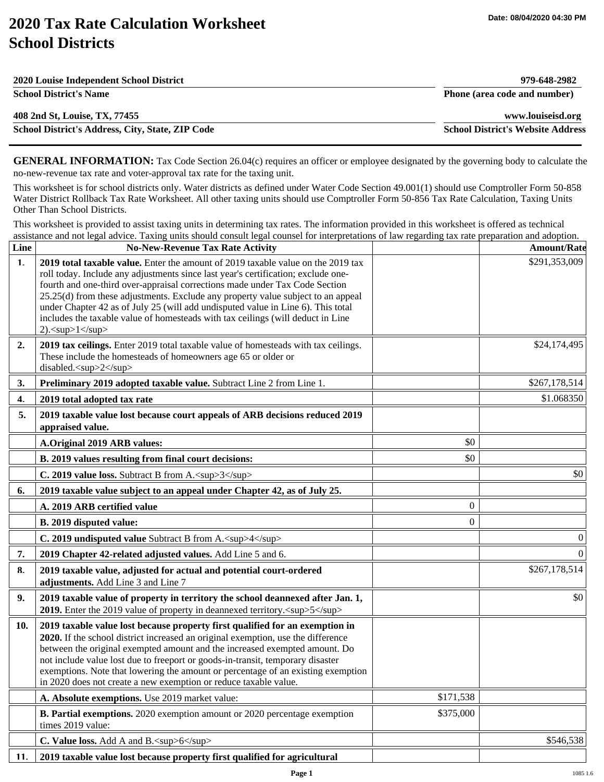## **2020 Tax Rate Calculation Worksheet School Districts**

| 2020 Louise Independent School District          | 979-648-2982                             |
|--------------------------------------------------|------------------------------------------|
| <b>School District's Name</b>                    | Phone (area code and number)             |
| 408 2nd St, Louise, TX, 77455                    | www.louiseisd.org                        |
| School District's Address, City, State, ZIP Code | <b>School District's Website Address</b> |

**GENERAL INFORMATION:** Tax Code Section 26.04(c) requires an officer or employee designated by the governing body to calculate the no-new-revenue tax rate and voter-approval tax rate for the taxing unit.

This worksheet is for school districts only. Water districts as defined under Water Code Section 49.001(1) should use Comptroller Form 50-858 Water District Rollback Tax Rate Worksheet. All other taxing units should use Comptroller Form 50-856 Tax Rate Calculation, Taxing Units Other Than School Districts.

This worksheet is provided to assist taxing units in determining tax rates. The information provided in this worksheet is offered as technical assistance and not legal advice. Taxing units should consult legal counsel for interpretations of law regarding tax rate preparation and adoption.

| Line | <b>No-New-Revenue Tax Rate Activity</b>                                                                                                                                                                                                                                                                                                                                                                                                                                                                                                            |                | <b>Amount/Rate</b> |
|------|----------------------------------------------------------------------------------------------------------------------------------------------------------------------------------------------------------------------------------------------------------------------------------------------------------------------------------------------------------------------------------------------------------------------------------------------------------------------------------------------------------------------------------------------------|----------------|--------------------|
| 1.   | 2019 total taxable value. Enter the amount of 2019 taxable value on the 2019 tax<br>roll today. Include any adjustments since last year's certification; exclude one-<br>fourth and one-third over-appraisal corrections made under Tax Code Section<br>25.25(d) from these adjustments. Exclude any property value subject to an appeal<br>under Chapter 42 as of July 25 (will add undisputed value in Line 6). This total<br>includes the taxable value of homesteads with tax ceilings (will deduct in Line<br>$2$ . <sup><math>1</math></sup> |                | \$291,353,009      |
| 2.   | 2019 tax ceilings. Enter 2019 total taxable value of homesteads with tax ceilings.<br>These include the homesteads of homeowners age 65 or older or<br>disabled. <sup>2</sup>                                                                                                                                                                                                                                                                                                                                                                      |                | \$24,174,495       |
| 3.   | Preliminary 2019 adopted taxable value. Subtract Line 2 from Line 1.                                                                                                                                                                                                                                                                                                                                                                                                                                                                               |                | \$267,178,514      |
| 4.   | 2019 total adopted tax rate                                                                                                                                                                                                                                                                                                                                                                                                                                                                                                                        |                | \$1.068350         |
| 5.   | 2019 taxable value lost because court appeals of ARB decisions reduced 2019<br>appraised value.                                                                                                                                                                                                                                                                                                                                                                                                                                                    |                |                    |
|      | <b>A.Original 2019 ARB values:</b>                                                                                                                                                                                                                                                                                                                                                                                                                                                                                                                 | \$0            |                    |
|      | B. 2019 values resulting from final court decisions:                                                                                                                                                                                                                                                                                                                                                                                                                                                                                               | \$0            |                    |
|      | C. 2019 value loss. Subtract B from A. <sup>3</sup>                                                                                                                                                                                                                                                                                                                                                                                                                                                                                                |                | \$0                |
| 6.   | 2019 taxable value subject to an appeal under Chapter 42, as of July 25.                                                                                                                                                                                                                                                                                                                                                                                                                                                                           |                |                    |
|      | A. 2019 ARB certified value                                                                                                                                                                                                                                                                                                                                                                                                                                                                                                                        | $\overline{0}$ |                    |
|      | B. 2019 disputed value:                                                                                                                                                                                                                                                                                                                                                                                                                                                                                                                            | $\overline{0}$ |                    |
|      | C. 2019 undisputed value Subtract B from A. <sup>4</sup>                                                                                                                                                                                                                                                                                                                                                                                                                                                                                           |                | $\boldsymbol{0}$   |
| 7.   | 2019 Chapter 42-related adjusted values. Add Line 5 and 6.                                                                                                                                                                                                                                                                                                                                                                                                                                                                                         |                | $\theta$           |
| 8.   | 2019 taxable value, adjusted for actual and potential court-ordered<br>adjustments. Add Line 3 and Line 7                                                                                                                                                                                                                                                                                                                                                                                                                                          |                | \$267,178,514      |
| 9.   | 2019 taxable value of property in territory the school deannexed after Jan. 1,<br>2019. Enter the 2019 value of property in deannexed territory. <sup>5</sup>                                                                                                                                                                                                                                                                                                                                                                                      |                | \$0                |
| 10.  | 2019 taxable value lost because property first qualified for an exemption in<br>2020. If the school district increased an original exemption, use the difference<br>between the original exempted amount and the increased exempted amount. Do<br>not include value lost due to freeport or goods-in-transit, temporary disaster<br>exemptions. Note that lowering the amount or percentage of an existing exemption<br>in 2020 does not create a new exemption or reduce taxable value.                                                           |                |                    |
|      | A. Absolute exemptions. Use 2019 market value:                                                                                                                                                                                                                                                                                                                                                                                                                                                                                                     | \$171,538      |                    |
|      | <b>B. Partial exemptions.</b> 2020 exemption amount or 2020 percentage exemption<br>times 2019 value:                                                                                                                                                                                                                                                                                                                                                                                                                                              | \$375,000      |                    |
|      | C. Value loss. Add A and B. <sup>6</sup>                                                                                                                                                                                                                                                                                                                                                                                                                                                                                                           |                | \$546,538          |
| 11.  | 2019 taxable value lost because property first qualified for agricultural                                                                                                                                                                                                                                                                                                                                                                                                                                                                          |                |                    |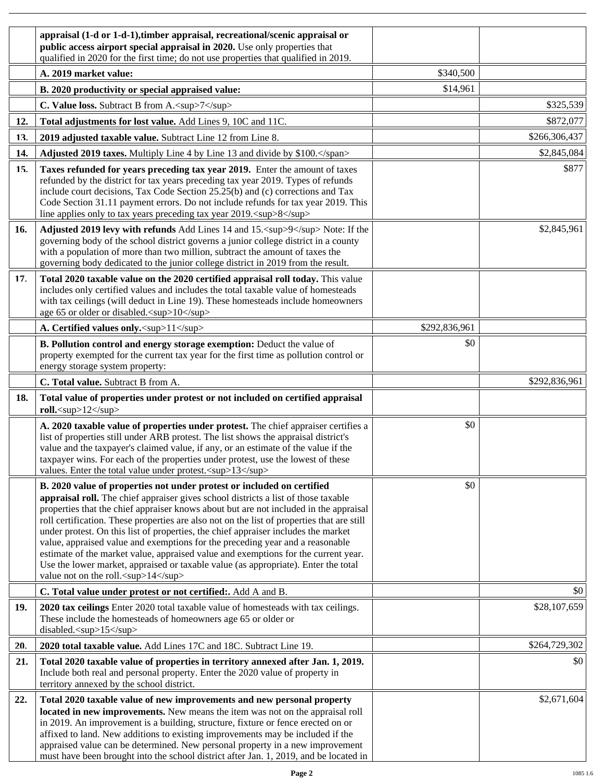|     | appraisal (1-d or 1-d-1), timber appraisal, recreational/scenic appraisal or<br>public access airport special appraisal in 2020. Use only properties that<br>qualified in 2020 for the first time; do not use properties that qualified in 2019.                                                                                                                                                                                                                                                                                                                                                                                                                                                                                               |               |               |
|-----|------------------------------------------------------------------------------------------------------------------------------------------------------------------------------------------------------------------------------------------------------------------------------------------------------------------------------------------------------------------------------------------------------------------------------------------------------------------------------------------------------------------------------------------------------------------------------------------------------------------------------------------------------------------------------------------------------------------------------------------------|---------------|---------------|
|     | A. 2019 market value:                                                                                                                                                                                                                                                                                                                                                                                                                                                                                                                                                                                                                                                                                                                          | \$340,500     |               |
|     | B. 2020 productivity or special appraised value:                                                                                                                                                                                                                                                                                                                                                                                                                                                                                                                                                                                                                                                                                               | \$14,961      |               |
|     | C. Value loss. Subtract B from A. <sup>7</sup>                                                                                                                                                                                                                                                                                                                                                                                                                                                                                                                                                                                                                                                                                                 |               | \$325,539     |
| 12. | Total adjustments for lost value. Add Lines 9, 10C and 11C.                                                                                                                                                                                                                                                                                                                                                                                                                                                                                                                                                                                                                                                                                    |               | \$872,077     |
| 13. | 2019 adjusted taxable value. Subtract Line 12 from Line 8.                                                                                                                                                                                                                                                                                                                                                                                                                                                                                                                                                                                                                                                                                     |               | \$266,306,437 |
| 14. | Adjusted 2019 taxes. Multiply Line 4 by Line 13 and divide by \$100.                                                                                                                                                                                                                                                                                                                                                                                                                                                                                                                                                                                                                                                                           |               | \$2,845,084   |
| 15. | Taxes refunded for years preceding tax year 2019. Enter the amount of taxes<br>refunded by the district for tax years preceding tax year 2019. Types of refunds<br>include court decisions, Tax Code Section 25.25(b) and (c) corrections and Tax<br>Code Section 31.11 payment errors. Do not include refunds for tax year 2019. This<br>line applies only to tax years preceding tax year 2019. <sup>8</sup>                                                                                                                                                                                                                                                                                                                                 |               | \$877         |
| 16. | Adjusted 2019 levy with refunds Add Lines 14 and 15. <sup>9</sup> Note: If the<br>governing body of the school district governs a junior college district in a county<br>with a population of more than two million, subtract the amount of taxes the<br>governing body dedicated to the junior college district in 2019 from the result.                                                                                                                                                                                                                                                                                                                                                                                                      |               | \$2,845,961   |
| 17. | Total 2020 taxable value on the 2020 certified appraisal roll today. This value<br>includes only certified values and includes the total taxable value of homesteads<br>with tax ceilings (will deduct in Line 19). These homesteads include homeowners<br>age 65 or older or disabled. <sup>10</sup>                                                                                                                                                                                                                                                                                                                                                                                                                                          |               |               |
|     | A. Certified values only. <sup>11</sup>                                                                                                                                                                                                                                                                                                                                                                                                                                                                                                                                                                                                                                                                                                        | \$292,836,961 |               |
|     | B. Pollution control and energy storage exemption: Deduct the value of<br>property exempted for the current tax year for the first time as pollution control or<br>energy storage system property:                                                                                                                                                                                                                                                                                                                                                                                                                                                                                                                                             | \$0           |               |
|     | C. Total value. Subtract B from A.                                                                                                                                                                                                                                                                                                                                                                                                                                                                                                                                                                                                                                                                                                             |               | \$292,836,961 |
| 18. | Total value of properties under protest or not included on certified appraisal<br>roll. <sup>12</sup>                                                                                                                                                                                                                                                                                                                                                                                                                                                                                                                                                                                                                                          |               |               |
|     | A. 2020 taxable value of properties under protest. The chief appraiser certifies a<br>list of properties still under ARB protest. The list shows the appraisal district's<br>value and the taxpayer's claimed value, if any, or an estimate of the value if the<br>taxpayer wins. For each of the properties under protest, use the lowest of these<br>values. Enter the total value under protest. <sup>13</sup>                                                                                                                                                                                                                                                                                                                              | \$0           |               |
|     | B. 2020 value of properties not under protest or included on certified<br>appraisal roll. The chief appraiser gives school districts a list of those taxable<br>properties that the chief appraiser knows about but are not included in the appraisal<br>roll certification. These properties are also not on the list of properties that are still<br>under protest. On this list of properties, the chief appraiser includes the market<br>value, appraised value and exemptions for the preceding year and a reasonable<br>estimate of the market value, appraised value and exemptions for the current year.<br>Use the lower market, appraised or taxable value (as appropriate). Enter the total<br>value not on the roll. <sup>14</sup> | \$0           |               |
|     | C. Total value under protest or not certified:. Add A and B.                                                                                                                                                                                                                                                                                                                                                                                                                                                                                                                                                                                                                                                                                   |               | \$0           |
| 19. | 2020 tax ceilings Enter 2020 total taxable value of homesteads with tax ceilings.<br>These include the homesteads of homeowners age 65 or older or<br>disabled. <sup>15</sup>                                                                                                                                                                                                                                                                                                                                                                                                                                                                                                                                                                  |               | \$28,107,659  |
| 20. | 2020 total taxable value. Add Lines 17C and 18C. Subtract Line 19.                                                                                                                                                                                                                                                                                                                                                                                                                                                                                                                                                                                                                                                                             |               | \$264,729,302 |
| 21. | Total 2020 taxable value of properties in territory annexed after Jan. 1, 2019.<br>Include both real and personal property. Enter the 2020 value of property in<br>territory annexed by the school district.                                                                                                                                                                                                                                                                                                                                                                                                                                                                                                                                   |               | \$0           |
| 22. | Total 2020 taxable value of new improvements and new personal property<br>located in new improvements. New means the item was not on the appraisal roll<br>in 2019. An improvement is a building, structure, fixture or fence erected on or<br>affixed to land. New additions to existing improvements may be included if the<br>appraised value can be determined. New personal property in a new improvement<br>must have been brought into the school district after Jan. 1, 2019, and be located in                                                                                                                                                                                                                                        |               | \$2,671,604   |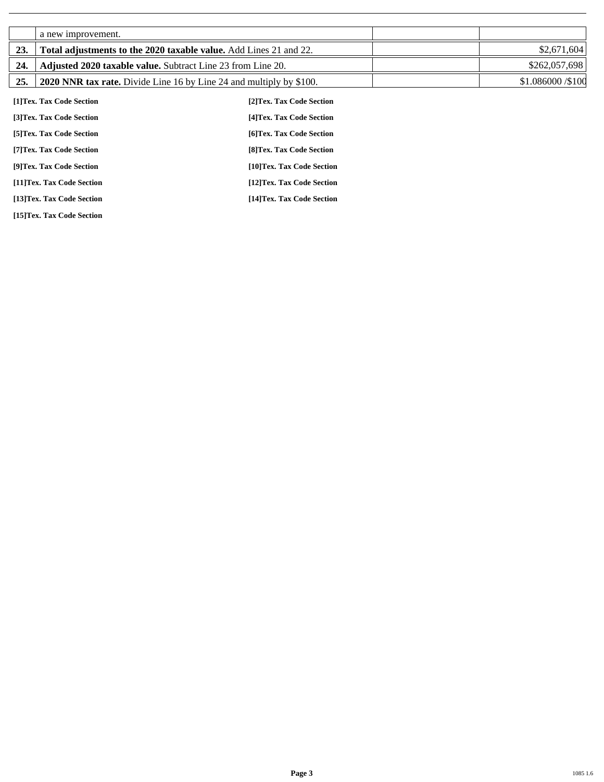|     | a new improvement.                                                 |                                                                            |                    |
|-----|--------------------------------------------------------------------|----------------------------------------------------------------------------|--------------------|
| 23. | Total adjustments to the 2020 taxable value. Add Lines 21 and 22.  |                                                                            | \$2,671,604        |
| 24. | <b>Adjusted 2020 taxable value.</b> Subtract Line 23 from Line 20. |                                                                            | \$262,057,698      |
| 25. |                                                                    | <b>2020 NNR tax rate.</b> Divide Line 16 by Line 24 and multiply by \$100. | \$1.086000 / \$100 |
|     | [1]Tex. Tax Code Section                                           | [2] Tex. Tax Code Section                                                  |                    |
|     | [3]Tex. Tax Code Section                                           | [4] Tex. Tax Code Section                                                  |                    |
|     | [5] Tex. Tax Code Section                                          | [6] Tex. Tax Code Section                                                  |                    |
|     | [7] Tex. Tax Code Section                                          | [8] Tex. Tax Code Section                                                  |                    |
|     | [9]Tex. Tax Code Section                                           | [10]Tex. Tax Code Section                                                  |                    |
|     | [11]Tex. Tax Code Section                                          | [12]Tex. Tax Code Section                                                  |                    |

**[13]Tex. Tax Code Section [14]Tex. Tax Code Section** 

**[15]Tex. Tax Code Section**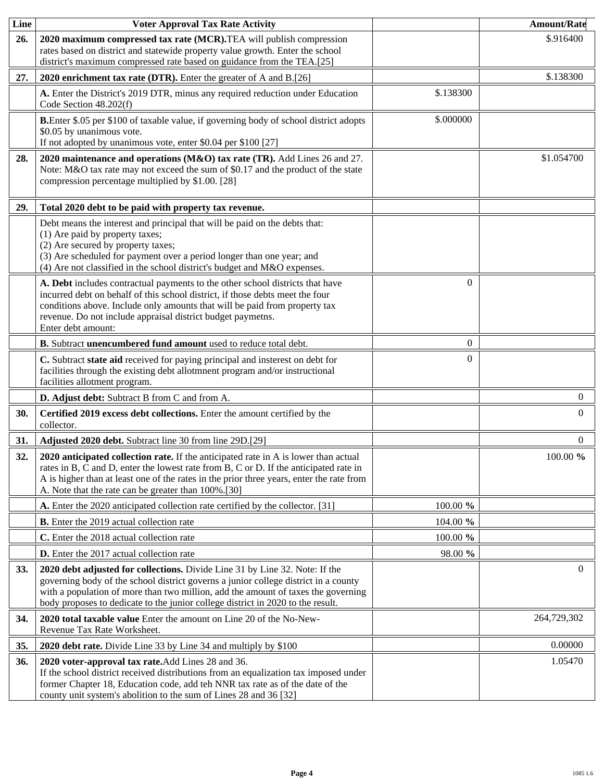| Line       | <b>Voter Approval Tax Rate Activity</b>                                                                                                                                                                                                                                                                                                    |           | <b>Amount/Rate</b> |
|------------|--------------------------------------------------------------------------------------------------------------------------------------------------------------------------------------------------------------------------------------------------------------------------------------------------------------------------------------------|-----------|--------------------|
| 26.        | 2020 maximum compressed tax rate (MCR). TEA will publish compression<br>rates based on district and statewide property value growth. Enter the school<br>district's maximum compressed rate based on guidance from the TEA.[25]                                                                                                            |           | \$.916400          |
| 27.        | 2020 enrichment tax rate (DTR). Enter the greater of A and B.[26]                                                                                                                                                                                                                                                                          |           | \$.138300          |
|            | A. Enter the District's 2019 DTR, minus any required reduction under Education<br>Code Section 48.202(f)                                                                                                                                                                                                                                   | \$.138300 |                    |
|            | B.Enter \$.05 per \$100 of taxable value, if governing body of school district adopts<br>\$0.05 by unanimous vote.<br>If not adopted by unanimous vote, enter \$0.04 per \$100 [27]                                                                                                                                                        | \$.000000 |                    |
| 28.        | 2020 maintenance and operations (M&O) tax rate (TR). Add Lines 26 and 27.<br>Note: M&O tax rate may not exceed the sum of \$0.17 and the product of the state<br>compression percentage multiplied by \$1.00. [28]                                                                                                                         |           | \$1.054700         |
| 29.        | Total 2020 debt to be paid with property tax revenue.                                                                                                                                                                                                                                                                                      |           |                    |
|            | Debt means the interest and principal that will be paid on the debts that:<br>(1) Are paid by property taxes;<br>(2) Are secured by property taxes;<br>(3) Are scheduled for payment over a period longer than one year; and<br>(4) Are not classified in the school district's budget and M&O expenses.                                   |           |                    |
|            | A. Debt includes contractual payments to the other school districts that have<br>incurred debt on behalf of this school district, if those debts meet the four<br>conditions above. Include only amounts that will be paid from property tax<br>revenue. Do not include appraisal district budget paymetns.<br>Enter debt amount:          | $\Omega$  |                    |
|            | B. Subtract unencumbered fund amount used to reduce total debt.                                                                                                                                                                                                                                                                            | $\theta$  |                    |
|            | C. Subtract state aid received for paying principal and insterest on debt for<br>facilities through the existing debt allotmnent program and/or instructional<br>facilities allotment program.                                                                                                                                             | $\Omega$  |                    |
|            | D. Adjust debt: Subtract B from C and from A.                                                                                                                                                                                                                                                                                              |           | $\overline{0}$     |
| 30.        | Certified 2019 excess debt collections. Enter the amount certified by the<br>collector.                                                                                                                                                                                                                                                    |           | $\overline{0}$     |
| 31.        | Adjusted 2020 debt. Subtract line 30 from line 29D.[29]                                                                                                                                                                                                                                                                                    |           | $\overline{0}$     |
| 32.        | 2020 anticipated collection rate. If the anticipated rate in A is lower than actual<br>rates in B, C and D, enter the lowest rate from B, C or D. If the anticipated rate in<br>A is higher than at least one of the rates in the prior three years, enter the rate from<br>A. Note that the rate can be greater than 100%.[30]            |           | 100.00 %           |
|            | A. Enter the 2020 anticipated collection rate certified by the collector. [31]                                                                                                                                                                                                                                                             | 100.00 %  |                    |
|            | <b>B.</b> Enter the 2019 actual collection rate                                                                                                                                                                                                                                                                                            | 104.00 %  |                    |
|            | C. Enter the 2018 actual collection rate                                                                                                                                                                                                                                                                                                   | 100.00 %  |                    |
|            | <b>D.</b> Enter the 2017 actual collection rate                                                                                                                                                                                                                                                                                            | 98.00 %   |                    |
| <b>33.</b> | 2020 debt adjusted for collections. Divide Line 31 by Line 32. Note: If the<br>governing body of the school district governs a junior college district in a county<br>with a population of more than two million, add the amount of taxes the governing<br>body proposes to dedicate to the junior college district in 2020 to the result. |           | $\overline{0}$     |
| 34.        | 2020 total taxable value Enter the amount on Line 20 of the No-New-<br>Revenue Tax Rate Worksheet.                                                                                                                                                                                                                                         |           | 264,729,302        |
| 35.        | 2020 debt rate. Divide Line 33 by Line 34 and multiply by \$100                                                                                                                                                                                                                                                                            |           | 0.00000            |
| 36.        | 2020 voter-approval tax rate. Add Lines 28 and 36.<br>If the school district received distributions from an equalization tax imposed under<br>former Chapter 18, Education code, add teh NNR tax rate as of the date of the<br>county unit system's abolition to the sum of Lines 28 and 36 [32]                                           |           | 1.05470            |